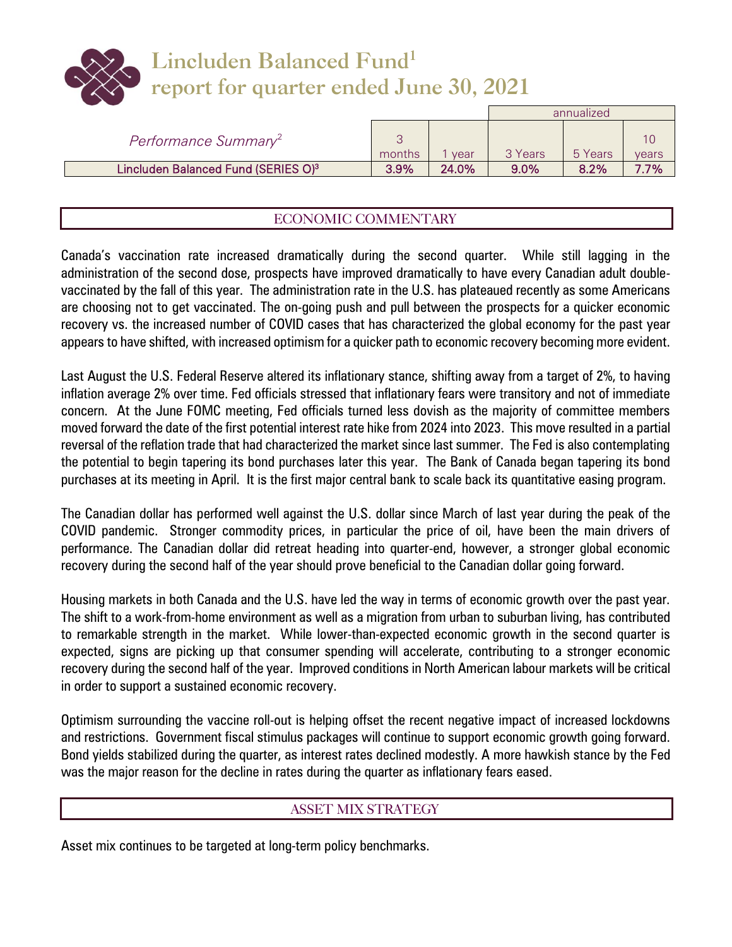# **Lincluden Balanced Fund<sup>1</sup> report for quarter ended June 30, 2021**

|                                                 |        |       |         | annualized |        |  |  |
|-------------------------------------------------|--------|-------|---------|------------|--------|--|--|
| Performance Summary <sup>2</sup>                | months | vear  | 3 Years | 5 Years    | vears  |  |  |
| Lincluden Balanced Fund (SERIES O) <sup>3</sup> | 3.9%   | 24.0% | $9.0\%$ | 8.2%       | $.7\%$ |  |  |

## ECONOMIC COMMENTARY

Canada's vaccination rate increased dramatically during the second quarter. While still lagging in the administration of the second dose, prospects have improved dramatically to have every Canadian adult doublevaccinated by the fall of this year. The administration rate in the U.S. has plateaued recently as some Americans are choosing not to get vaccinated. The on-going push and pull between the prospects for a quicker economic recovery vs. the increased number of COVID cases that has characterized the global economy for the past year appears to have shifted, with increased optimism for a quicker path to economic recovery becoming more evident.

Last August the U.S. Federal Reserve altered its inflationary stance, shifting away from a target of 2%, to having inflation average 2% over time. Fed officials stressed that inflationary fears were transitory and not of immediate concern. At the June FOMC meeting, Fed officials turned less dovish as the majority of committee members moved forward the date of the first potential interest rate hike from 2024 into 2023. This move resulted in a partial reversal of the reflation trade that had characterized the market since last summer. The Fed is also contemplating the potential to begin tapering its bond purchases later this year. The Bank of Canada began tapering its bond purchases at its meeting in April. It is the first major central bank to scale back its quantitative easing program.

The Canadian dollar has performed well against the U.S. dollar since March of last year during the peak of the COVID pandemic. Stronger commodity prices, in particular the price of oil, have been the main drivers of performance. The Canadian dollar did retreat heading into quarter-end, however, a stronger global economic recovery during the second half of the year should prove beneficial to the Canadian dollar going forward.

Housing markets in both Canada and the U.S. have led the way in terms of economic growth over the past year. The shift to a work-from-home environment as well as a migration from urban to suburban living, has contributed to remarkable strength in the market. While lower-than-expected economic growth in the second quarter is expected, signs are picking up that consumer spending will accelerate, contributing to a stronger economic recovery during the second half of the year. Improved conditions in North American labour markets will be critical in order to support a sustained economic recovery.

Optimism surrounding the vaccine roll-out is helping offset the recent negative impact of increased lockdowns and restrictions. Government fiscal stimulus packages will continue to support economic growth going forward. Bond yields stabilized during the quarter, as interest rates declined modestly. A more hawkish stance by the Fed was the major reason for the decline in rates during the quarter as inflationary fears eased.

### ASSET MIX STRATEGY

Asset mix continues to be targeted at long-term policy benchmarks.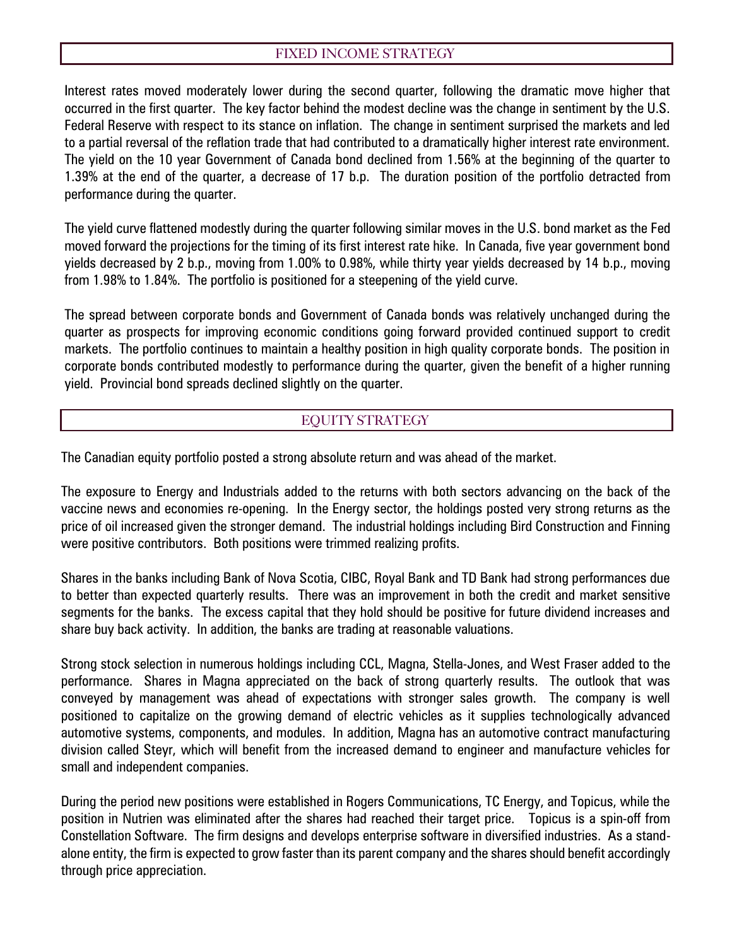### FIXED INCOME STRATEGY

Interest rates moved moderately lower during the second quarter, following the dramatic move higher that occurred in the first quarter. The key factor behind the modest decline was the change in sentiment by the U.S. Federal Reserve with respect to its stance on inflation. The change in sentiment surprised the markets and led to a partial reversal of the reflation trade that had contributed to a dramatically higher interest rate environment. The yield on the 10 year Government of Canada bond declined from 1.56% at the beginning of the quarter to 1.39% at the end of the quarter, a decrease of 17 b.p. The duration position of the portfolio detracted from performance during the quarter.

The yield curve flattened modestly during the quarter following similar moves in the U.S. bond market as the Fed moved forward the projections for the timing of its first interest rate hike. In Canada, five year government bond yields decreased by 2 b.p., moving from 1.00% to 0.98%, while thirty year yields decreased by 14 b.p., moving from 1.98% to 1.84%. The portfolio is positioned for a steepening of the yield curve.

The spread between corporate bonds and Government of Canada bonds was relatively unchanged during the quarter as prospects for improving economic conditions going forward provided continued support to credit markets. The portfolio continues to maintain a healthy position in high quality corporate bonds. The position in corporate bonds contributed modestly to performance during the quarter, given the benefit of a higher running yield. Provincial bond spreads declined slightly on the quarter.

### EQUITY STRATEGY

The Canadian equity portfolio posted a strong absolute return and was ahead of the market.

The exposure to Energy and Industrials added to the returns with both sectors advancing on the back of the vaccine news and economies re-opening. In the Energy sector, the holdings posted very strong returns as the price of oil increased given the stronger demand. The industrial holdings including Bird Construction and Finning were positive contributors. Both positions were trimmed realizing profits.

Shares in the banks including Bank of Nova Scotia, CIBC, Royal Bank and TD Bank had strong performances due to better than expected quarterly results. There was an improvement in both the credit and market sensitive segments for the banks. The excess capital that they hold should be positive for future dividend increases and share buy back activity. In addition, the banks are trading at reasonable valuations.

Strong stock selection in numerous holdings including CCL, Magna, Stella-Jones, and West Fraser added to the performance. Shares in Magna appreciated on the back of strong quarterly results. The outlook that was conveyed by management was ahead of expectations with stronger sales growth. The company is well positioned to capitalize on the growing demand of electric vehicles as it supplies technologically advanced automotive systems, components, and modules. In addition, Magna has an automotive contract manufacturing division called Steyr, which will benefit from the increased demand to engineer and manufacture vehicles for small and independent companies.

During the period new positions were established in Rogers Communications, TC Energy, and Topicus, while the position in Nutrien was eliminated after the shares had reached their target price. Topicus is a spin-off from Constellation Software. The firm designs and develops enterprise software in diversified industries. As a standalone entity, the firm is expected to grow faster than its parent company and the shares should benefit accordingly through price appreciation.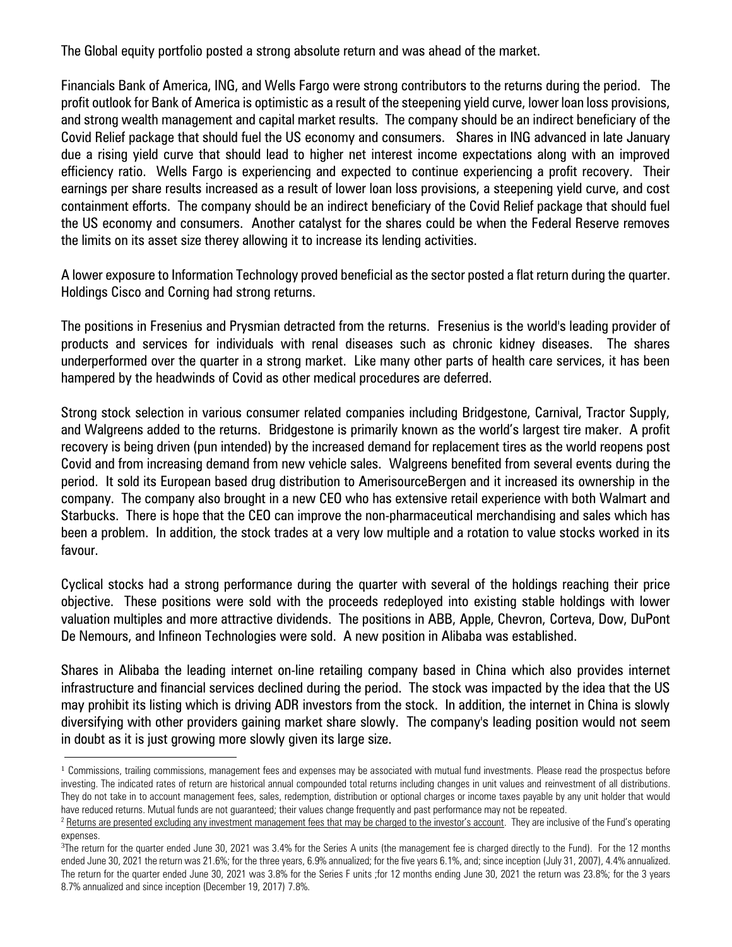The Global equity portfolio posted a strong absolute return and was ahead of the market.

Financials Bank of America, ING, and Wells Fargo were strong contributors to the returns during the period. The profit outlook for Bank of America is optimistic as a result of the steepening yield curve, lower loan loss provisions, and strong wealth management and capital market results. The company should be an indirect beneficiary of the Covid Relief package that should fuel the US economy and consumers. Shares in ING advanced in late January due a rising yield curve that should lead to higher net interest income expectations along with an improved efficiency ratio. Wells Fargo is experiencing and expected to continue experiencing a profit recovery. Their earnings per share results increased as a result of lower loan loss provisions, a steepening yield curve, and cost containment efforts. The company should be an indirect beneficiary of the Covid Relief package that should fuel the US economy and consumers. Another catalyst for the shares could be when the Federal Reserve removes the limits on its asset size therey allowing it to increase its lending activities.

A lower exposure to Information Technology proved beneficial as the sector posted a flat return during the quarter. Holdings Cisco and Corning had strong returns.

The positions in Fresenius and Prysmian detracted from the returns. Fresenius is the world's leading provider of products and services for individuals with renal diseases such as chronic kidney diseases. The shares underperformed over the quarter in a strong market. Like many other parts of health care services, it has been hampered by the headwinds of Covid as other medical procedures are deferred.

Strong stock selection in various consumer related companies including Bridgestone, Carnival, Tractor Supply, and Walgreens added to the returns. Bridgestone is primarily known as the world's largest tire maker. A profit recovery is being driven (pun intended) by the increased demand for replacement tires as the world reopens post Covid and from increasing demand from new vehicle sales. Walgreens benefited from several events during the period. It sold its European based drug distribution to AmerisourceBergen and it increased its ownership in the company. The company also brought in a new CEO who has extensive retail experience with both Walmart and Starbucks. There is hope that the CEO can improve the non-pharmaceutical merchandising and sales which has been a problem. In addition, the stock trades at a very low multiple and a rotation to value stocks worked in its favour.

Cyclical stocks had a strong performance during the quarter with several of the holdings reaching their price objective. These positions were sold with the proceeds redeployed into existing stable holdings with lower valuation multiples and more attractive dividends. The positions in ABB, Apple, Chevron, Corteva, Dow, DuPont De Nemours, and Infineon Technologies were sold. A new position in Alibaba was established.

Shares in Alibaba the leading internet on-line retailing company based in China which also provides internet infrastructure and financial services declined during the period. The stock was impacted by the idea that the US may prohibit its listing which is driving ADR investors from the stock. In addition, the internet in China is slowly diversifying with other providers gaining market share slowly. The company's leading position would not seem in doubt as it is just growing more slowly given its large size.

 $\overline{a}$ 

<sup>&</sup>lt;sup>1</sup> Commissions, trailing commissions, management fees and expenses may be associated with mutual fund investments. Please read the prospectus before investing. The indicated rates of return are historical annual compounded total returns including changes in unit values and reinvestment of all distributions. They do not take in to account management fees, sales, redemption, distribution or optional charges or income taxes payable by any unit holder that would have reduced returns. Mutual funds are not guaranteed; their values change frequently and past performance may not be repeated.

<sup>&</sup>lt;sup>2</sup> Returns are presented excluding any investment management fees that may be charged to the investor's account. They are inclusive of the Fund's operating expenses.

<sup>3</sup> The return for the quarter ended June 30, 2021 was 3.4% for the Series A units (the management fee is charged directly to the Fund). For the 12 months ended June 30, 2021 the return was 21.6%; for the three years, 6.9% annualized; for the five years 6.1%, and; since inception (July 31, 2007), 4.4% annualized. The return for the quarter ended June 30, 2021 was 3.8% for the Series F units ;for 12 months ending June 30, 2021 the return was 23.8%; for the 3 years 8.7% annualized and since inception (December 19, 2017) 7.8%.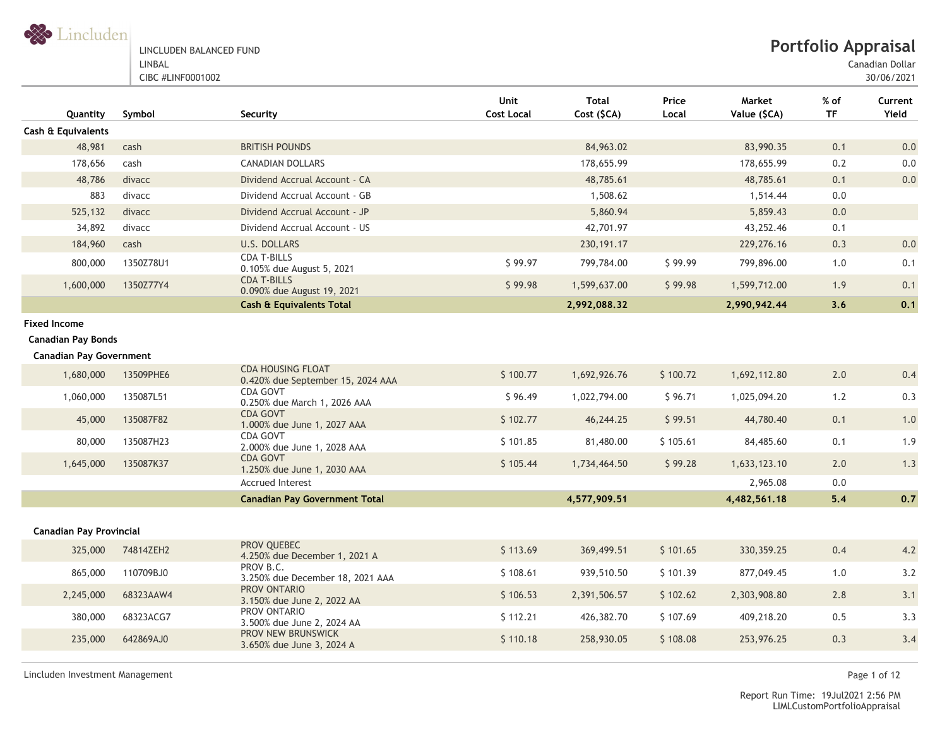#### LINCLUDEN BALANCED FUND LINBAL

CIBC #LINF0001002

Canadian Dollar

30/06/2021

| Quantity                                         | Symbol    | Security                                               | Unit<br><b>Cost Local</b> | <b>Total</b><br>Cost (\$CA) | Price<br>Local | Market<br>Value (\$CA) | % of<br><b>TF</b> | Current<br>Yield |
|--------------------------------------------------|-----------|--------------------------------------------------------|---------------------------|-----------------------------|----------------|------------------------|-------------------|------------------|
| <b>Cash &amp; Equivalents</b>                    |           |                                                        |                           |                             |                |                        |                   |                  |
| 48,981                                           | cash      | <b>BRITISH POUNDS</b>                                  |                           | 84,963.02                   |                | 83,990.35              | 0.1               | $0.0\,$          |
| 178,656                                          | cash      | <b>CANADIAN DOLLARS</b>                                |                           | 178,655.99                  |                | 178,655.99             | 0.2               | $0.0$            |
| 48,786                                           | divacc    | Dividend Accrual Account - CA                          |                           | 48,785.61                   |                | 48,785.61              | 0.1               | $0.0\,$          |
| 883                                              | divacc    | Dividend Accrual Account - GB                          |                           | 1,508.62                    |                | 1,514.44               | $0.0$             |                  |
| 525,132                                          | divacc    | Dividend Accrual Account - JP                          |                           | 5,860.94                    |                | 5,859.43               | $0.0\,$           |                  |
| 34,892                                           | divacc    | Dividend Accrual Account - US                          |                           | 42,701.97                   |                | 43,252.46              | 0.1               |                  |
| 184,960                                          | cash      | U.S. DOLLARS                                           |                           | 230, 191. 17                |                | 229,276.16             | 0.3               | $0.0\,$          |
| 800,000                                          | 1350Z78U1 | <b>CDA T-BILLS</b><br>0.105% due August 5, 2021        | \$99.97                   | 799,784.00                  | \$99.99        | 799,896.00             | $1.0$             | 0.1              |
| 1,600,000                                        | 1350Z77Y4 | <b>CDA T-BILLS</b><br>0.090% due August 19, 2021       | \$99.98                   | 1,599,637.00                | \$99.98        | 1,599,712.00           | 1.9               | 0.1              |
|                                                  |           | <b>Cash &amp; Equivalents Total</b>                    |                           | 2,992,088.32                |                | 2,990,942.44           | 3.6               | 0.1              |
| <b>Fixed Income</b><br><b>Canadian Pay Bonds</b> |           |                                                        |                           |                             |                |                        |                   |                  |
| <b>Canadian Pay Government</b>                   |           | <b>CDA HOUSING FLOAT</b>                               |                           |                             |                |                        |                   |                  |
| 1,680,000                                        | 13509PHE6 | 0.420% due September 15, 2024 AAA                      | \$100.77                  | 1,692,926.76                | \$100.72       | 1,692,112.80           | 2.0               | 0.4              |
| 1,060,000                                        | 135087L51 | CDA GOVT<br>0.250% due March 1, 2026 AAA               | \$96.49                   | 1,022,794.00                | \$96.71        | 1,025,094.20           | 1.2               | 0.3              |
| 45,000                                           | 135087F82 | <b>CDA GOVT</b><br>1.000% due June 1, 2027 AAA         | \$102.77                  | 46,244.25                   | \$99.51        | 44,780.40              | 0.1               | 1.0              |
| 80,000                                           | 135087H23 | <b>CDA GOVT</b><br>2.000% due June 1, 2028 AAA         | \$101.85                  | 81,480.00                   | \$105.61       | 84,485.60              | 0.1               | 1.9              |
| 1,645,000                                        | 135087K37 | <b>CDA GOVT</b><br>1.250% due June 1, 2030 AAA         | \$105.44                  | 1,734,464.50                | \$99.28        | 1,633,123.10           | 2.0               | 1.3              |
|                                                  |           | <b>Accrued Interest</b>                                |                           |                             |                | 2,965.08               | 0.0               |                  |
|                                                  |           | <b>Canadian Pay Government Total</b>                   |                           | 4,577,909.51                |                | 4,482,561.18           | $5.4$             | 0.7              |
| <b>Canadian Pay Provincial</b>                   |           |                                                        |                           |                             |                |                        |                   |                  |
| 325,000                                          | 74814ZEH2 | PROV OUEBEC<br>4.250% due December 1, 2021 A           | \$113.69                  | 369,499.51                  | \$101.65       | 330, 359.25            | 0.4               | 4.2              |
| 865,000                                          | 110709BJ0 | PROV B.C.<br>3.250% due December 18, 2021 AAA          | \$108.61                  | 939,510.50                  | \$101.39       | 877,049.45             | 1.0               | 3.2              |
| 2,245,000                                        | 68323AAW4 | PROV ONTARIO<br>3.150% due June 2, 2022 AA             | \$106.53                  | 2,391,506.57                | \$102.62       | 2,303,908.80           | 2.8               | 3.1              |
| 380,000                                          | 68323ACG7 | PROV ONTARIO<br>3.500% due June 2, 2024 AA             | \$112.21                  | 426,382.70                  | \$107.69       | 409,218.20             | 0.5               | 3.3              |
| 235,000                                          | 642869AJ0 | <b>PROV NEW BRUNSWICK</b><br>3.650% due June 3, 2024 A | \$110.18                  | 258,930.05                  | \$108.08       | 253,976.25             | 0.3               | 3.4              |

Lincluden Investment Management Page 1 of 12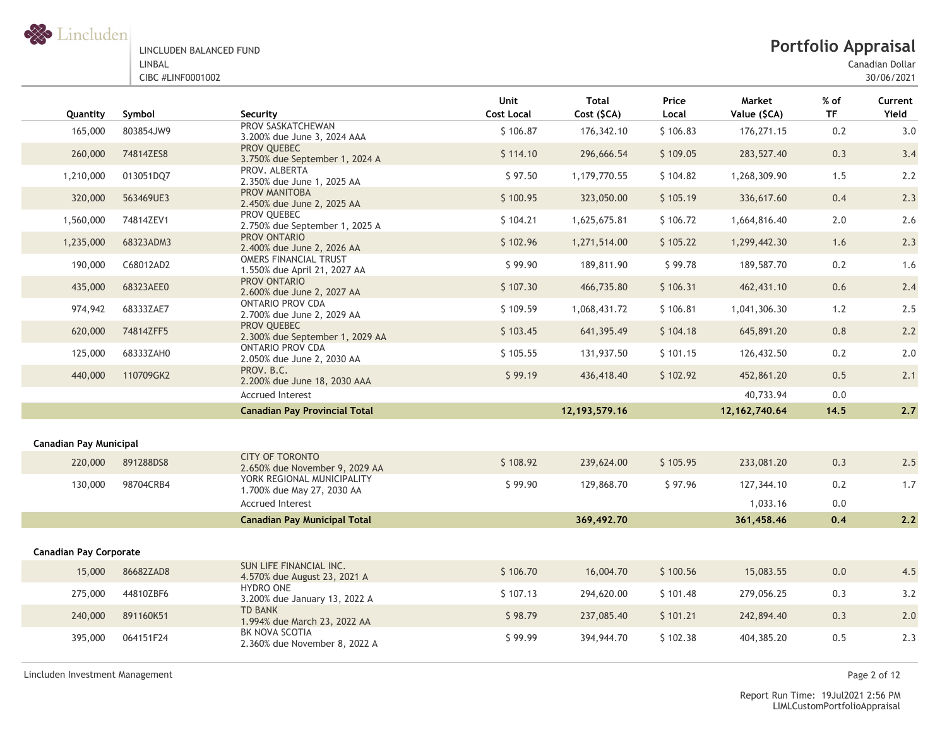

Canadian Dollar

| Quantity                      | Symbol    | Security                                                     | Unit<br><b>Cost Local</b> | <b>Total</b><br>Cost (\$CA) | Price<br>Local | Market<br>Value (\$CA) | $%$ of<br><b>TF</b> | Current<br>Yield |
|-------------------------------|-----------|--------------------------------------------------------------|---------------------------|-----------------------------|----------------|------------------------|---------------------|------------------|
| 165,000                       | 803854JW9 | PROV SASKATCHEWAN<br>3.200% due June 3, 2024 AAA             | \$106.87                  | 176,342.10                  | \$106.83       | 176,271.15             | 0.2                 | 3.0              |
| 260,000                       | 74814ZES8 | PROV QUEBEC<br>3.750% due September 1, 2024 A                | \$114.10                  | 296,666.54                  | \$109.05       | 283,527.40             | 0.3                 | 3.4              |
| 1,210,000                     | 013051DQ7 | PROV. ALBERTA<br>2.350% due June 1, 2025 AA                  | \$97.50                   | 1,179,770.55                | \$104.82       | 1,268,309.90           | 1.5                 | 2.2              |
| 320,000                       | 563469UE3 | PROV MANITOBA<br>2.450% due June 2, 2025 AA                  | \$100.95                  | 323,050.00                  | \$105.19       | 336,617.60             | 0.4                 | 2.3              |
| 1,560,000                     | 74814ZEV1 | PROV QUEBEC<br>2.750% due September 1, 2025 A                | \$104.21                  | 1,625,675.81                | \$106.72       | 1,664,816.40           | 2.0                 | 2.6              |
| 1,235,000                     | 68323ADM3 | PROV ONTARIO<br>2.400% due June 2, 2026 AA                   | \$102.96                  | 1,271,514.00                | \$105.22       | 1,299,442.30           | 1.6                 | 2.3              |
| 190,000                       | C68012AD2 | <b>OMERS FINANCIAL TRUST</b><br>1.550% due April 21, 2027 AA | \$99.90                   | 189,811.90                  | \$99.78        | 189,587.70             | 0.2                 | 1.6              |
| 435,000                       | 68323AEE0 | PROV ONTARIO<br>2.600% due June 2, 2027 AA                   | \$107.30                  | 466,735.80                  | \$106.31       | 462,431.10             | 0.6                 | 2.4              |
| 974,942                       | 68333ZAE7 | <b>ONTARIO PROV CDA</b><br>2.700% due June 2, 2029 AA        | \$109.59                  | 1,068,431.72                | \$106.81       | 1,041,306.30           | 1.2                 | 2.5              |
| 620,000                       | 74814ZFF5 | PROV QUEBEC<br>2.300% due September 1, 2029 AA               | \$103.45                  | 641,395.49                  | \$104.18       | 645,891.20             | $0.8\,$             | 2.2              |
| 125,000                       | 68333ZAH0 | <b>ONTARIO PROV CDA</b><br>2.050% due June 2, 2030 AA        | \$105.55                  | 131,937.50                  | \$101.15       | 126,432.50             | 0.2                 | 2.0              |
| 440,000                       | 110709GK2 | PROV. B.C.<br>2.200% due June 18, 2030 AAA                   | \$99.19                   | 436,418.40                  | \$102.92       | 452,861.20             | 0.5                 | 2.1              |
|                               |           | <b>Accrued Interest</b>                                      |                           |                             |                | 40,733.94              | 0.0                 |                  |
|                               |           | <b>Canadian Pay Provincial Total</b>                         |                           | 12, 193, 579. 16            |                | 12, 162, 740.64        | 14.5                | 2.7              |
| <b>Canadian Pay Municipal</b> |           |                                                              |                           |                             |                |                        |                     |                  |
| 220,000                       | 891288DS8 | <b>CITY OF TORONTO</b>                                       | \$108.92                  | 239,624.00                  | \$105.95       | 233,081.20             | 0.3                 | 2.5              |
| 130,000                       | 98704CRB4 | 2.650% due November 9, 2029 AA<br>YORK REGIONAL MUNICIPALITY | \$99.90                   | 129,868.70                  | \$97.96        | 127,344.10             | 0.2                 | 1.7              |
|                               |           | 1.700% due May 27, 2030 AA<br><b>Accrued Interest</b>        |                           |                             |                | 1,033.16               | 0.0                 |                  |
|                               |           | <b>Canadian Pay Municipal Total</b>                          |                           | 369,492.70                  |                | 361,458.46             | 0.4                 | 2.2              |
|                               |           |                                                              |                           |                             |                |                        |                     |                  |
| <b>Canadian Pay Corporate</b> |           |                                                              |                           |                             |                |                        |                     |                  |
| 15,000                        | 86682ZAD8 | SUN LIFE FINANCIAL INC.<br>4.570% due August 23, 2021 A      | \$106.70                  | 16,004.70                   | \$100.56       | 15,083.55              | $0.0\,$             | 4.5              |
| 275,000                       | 44810ZBF6 | HYDRO ONE<br>3.200% due January 13, 2022 A                   | \$107.13                  | 294,620.00                  | \$101.48       | 279,056.25             | 0.3                 | 3.2              |
| 240,000                       | 891160K51 | <b>TD BANK</b><br>1.994% due March 23, 2022 AA               | \$98.79                   | 237,085.40                  | \$101.21       | 242,894.40             | 0.3                 | 2.0              |
| 395,000                       | 064151F24 | BK NOVA SCOTIA<br>2.360% due November 8, 2022 A              | \$99.99                   | 394,944.70                  | \$102.38       | 404,385.20             | 0.5                 | 2.3              |

Lincluden Investment Management Page 2 of 12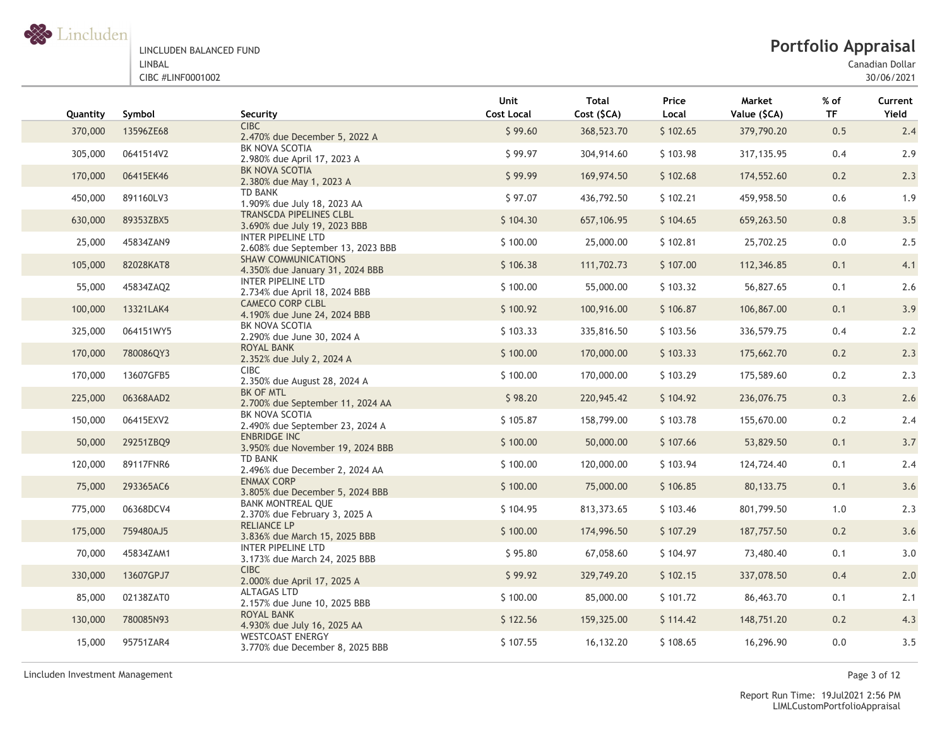

## **Portfolio Appraisal**

Canadian Dollar

30/06/2021

| Quantity | Symbol    | Security                                                      | Unit<br><b>Cost Local</b> | <b>Total</b><br>Cost (\$CA) | Price<br>Local | Market<br>Value (\$CA) | $%$ of<br><b>TF</b> | Current<br>Yield |
|----------|-----------|---------------------------------------------------------------|---------------------------|-----------------------------|----------------|------------------------|---------------------|------------------|
| 370,000  | 13596ZE68 | <b>CIBC</b><br>2.470% due December 5, 2022 A                  | \$99.60                   | 368,523.70                  | \$102.65       | 379,790.20             | 0.5                 | 2.4              |
| 305,000  | 0641514V2 | BK NOVA SCOTIA<br>2.980% due April 17, 2023 A                 | \$99.97                   | 304,914.60                  | \$103.98       | 317, 135.95            | 0.4                 | 2.9              |
| 170,000  | 06415EK46 | BK NOVA SCOTIA<br>2.380% due May 1, 2023 A                    | \$99.99                   | 169,974.50                  | \$102.68       | 174,552.60             | 0.2                 | 2.3              |
| 450,000  | 891160LV3 | TD BANK<br>1.909% due July 18, 2023 AA                        | \$97.07                   | 436,792.50                  | \$102.21       | 459,958.50             | 0.6                 | 1.9              |
| 630,000  | 89353ZBX5 | TRANSCDA PIPELINES CLBL<br>3.690% due July 19, 2023 BBB       | \$104.30                  | 657,106.95                  | \$104.65       | 659,263.50             | 0.8                 | 3.5              |
| 25,000   | 45834ZAN9 | INTER PIPELINE LTD<br>2.608% due September 13, 2023 BBB       | \$100.00                  | 25,000.00                   | \$102.81       | 25,702.25              | 0.0                 | 2.5              |
| 105,000  | 82028KAT8 | <b>SHAW COMMUNICATIONS</b><br>4.350% due January 31, 2024 BBB | \$106.38                  | 111,702.73                  | \$107.00       | 112,346.85             | 0.1                 | 4.1              |
| 55,000   | 45834ZAQ2 | INTER PIPELINE LTD<br>2.734% due April 18, 2024 BBB           | \$100.00                  | 55,000.00                   | \$103.32       | 56,827.65              | 0.1                 | 2.6              |
| 100,000  | 13321LAK4 | <b>CAMECO CORP CLBL</b><br>4.190% due June 24, 2024 BBB       | \$100.92                  | 100,916.00                  | \$106.87       | 106,867.00             | 0.1                 | 3.9              |
| 325,000  | 064151WY5 | BK NOVA SCOTIA<br>2.290% due June 30, 2024 A                  | \$103.33                  | 335,816.50                  | \$103.56       | 336,579.75             | 0.4                 | 2.2              |
| 170,000  | 780086QY3 | ROYAL BANK<br>2.352% due July 2, 2024 A                       | \$100.00                  | 170,000.00                  | \$103.33       | 175,662.70             | 0.2                 | 2.3              |
| 170,000  | 13607GFB5 | <b>CIBC</b><br>2.350% due August 28, 2024 A                   | \$100.00                  | 170,000.00                  | \$103.29       | 175,589.60             | 0.2                 | 2.3              |
| 225,000  | 06368AAD2 | <b>BK OF MTL</b><br>2.700% due September 11, 2024 AA          | \$98.20                   | 220,945.42                  | \$104.92       | 236,076.75             | 0.3                 | 2.6              |
| 150,000  | 06415EXV2 | BK NOVA SCOTIA<br>2.490% due September 23, 2024 A             | \$105.87                  | 158,799.00                  | \$103.78       | 155,670.00             | 0.2                 | 2.4              |
| 50,000   | 29251ZBQ9 | ENBRIDGE INC<br>3.950% due November 19, 2024 BBB              | \$100.00                  | 50,000.00                   | \$107.66       | 53,829.50              | 0.1                 | 3.7              |
| 120,000  | 89117FNR6 | <b>TD BANK</b><br>2.496% due December 2, 2024 AA              | \$100.00                  | 120,000.00                  | \$103.94       | 124,724.40             | 0.1                 | 2.4              |
| 75,000   | 293365AC6 | <b>ENMAX CORP</b><br>3.805% due December 5, 2024 BBB          | \$100.00                  | 75,000.00                   | \$106.85       | 80,133.75              | 0.1                 | 3.6              |
| 775,000  | 06368DCV4 | <b>BANK MONTREAL QUE</b><br>2.370% due February 3, 2025 A     | \$104.95                  | 813,373.65                  | \$103.46       | 801,799.50             | 1.0                 | 2.3              |
| 175,000  | 759480AJ5 | <b>RELIANCE LP</b><br>3.836% due March 15, 2025 BBB           | \$100.00                  | 174,996.50                  | \$107.29       | 187,757.50             | 0.2                 | 3.6              |
| 70,000   | 45834ZAM1 | INTER PIPELINE LTD<br>3.173% due March 24, 2025 BBB           | \$95.80                   | 67,058.60                   | \$104.97       | 73,480.40              | 0.1                 | 3.0              |
| 330,000  | 13607GPJ7 | <b>CIBC</b><br>2.000% due April 17, 2025 A                    | \$99.92                   | 329,749.20                  | \$102.15       | 337,078.50             | 0.4                 | 2.0              |
| 85,000   | 02138ZAT0 | <b>ALTAGAS LTD</b><br>2.157% due June 10, 2025 BBB            | \$100.00                  | 85,000.00                   | \$101.72       | 86,463.70              | 0.1                 | 2.1              |
| 130,000  | 780085N93 | <b>ROYAL BANK</b><br>4.930% due July 16, 2025 AA              | \$122.56                  | 159,325.00                  | \$114.42       | 148,751.20             | 0.2                 | 4.3              |
| 15,000   | 95751ZAR4 | <b>WESTCOAST ENERGY</b><br>3.770% due December 8, 2025 BBB    | \$107.55                  | 16,132.20                   | \$108.65       | 16,296.90              | 0.0                 | 3.5              |

Lincluden Investment Management Page 3 of 12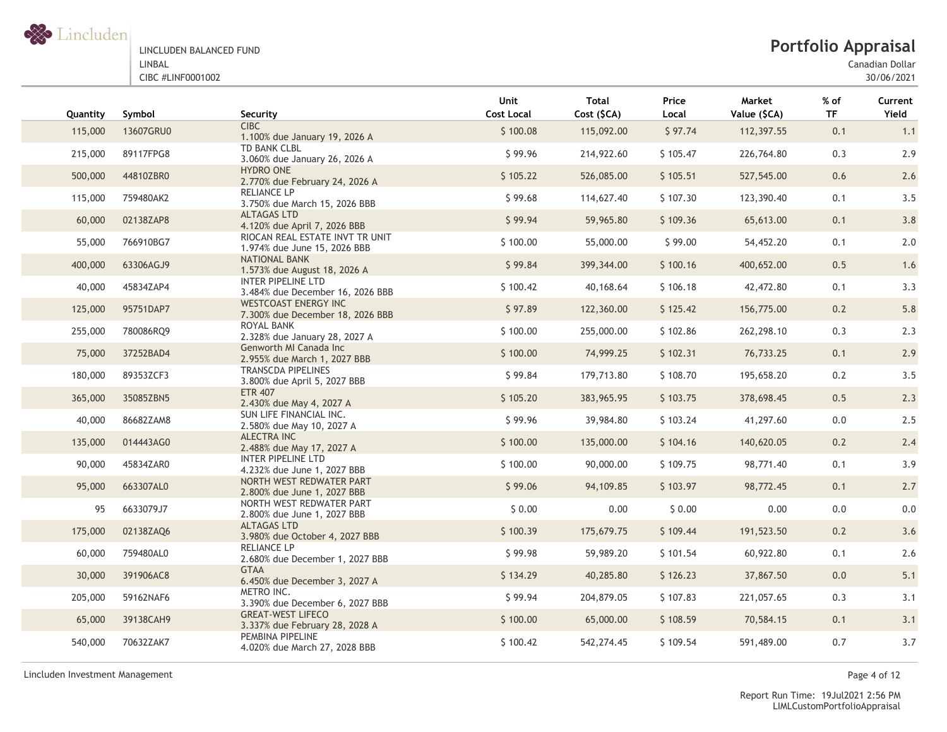

## **Portfolio Appraisal**

Canadian Dollar

30/06/2021

| Quantity | Symbol    | Security                                                        | Unit<br><b>Cost Local</b> | <b>Total</b><br>Cost (\$CA) | Price<br>Local | Market<br>Value (\$CA) | $%$ of<br><b>TF</b> | Current<br>Yield |
|----------|-----------|-----------------------------------------------------------------|---------------------------|-----------------------------|----------------|------------------------|---------------------|------------------|
| 115,000  | 13607GRU0 | CIBC<br>1.100% due January 19, 2026 A                           | \$100.08                  | 115,092.00                  | \$97.74        | 112,397.55             | 0.1                 | 1.1              |
| 215,000  | 89117FPG8 | TD BANK CLBL<br>3.060% due January 26, 2026 A                   | \$99.96                   | 214,922.60                  | \$105.47       | 226,764.80             | 0.3                 | 2.9              |
| 500,000  | 44810ZBR0 | <b>HYDRO ONE</b><br>2.770% due February 24, 2026 A              | \$105.22                  | 526,085.00                  | \$105.51       | 527,545.00             | 0.6                 | 2.6              |
| 115,000  | 759480AK2 | RELIANCE LP<br>3.750% due March 15, 2026 BBB                    | \$99.68                   | 114,627.40                  | \$107.30       | 123,390.40             | 0.1                 | 3.5              |
| 60,000   | 02138ZAP8 | <b>ALTAGAS LTD</b><br>4.120% due April 7, 2026 BBB              | \$99.94                   | 59,965.80                   | \$109.36       | 65,613.00              | 0.1                 | 3.8              |
| 55,000   | 766910BG7 | RIOCAN REAL ESTATE INVT TR UNIT<br>1.974% due June 15, 2026 BBB | \$100.00                  | 55,000.00                   | \$99.00        | 54,452.20              | 0.1                 | 2.0              |
| 400,000  | 63306AGJ9 | NATIONAL BANK<br>1.573% due August 18, 2026 A                   | \$99.84                   | 399,344.00                  | \$100.16       | 400,652.00             | 0.5                 | 1.6              |
| 40,000   | 45834ZAP4 | INTER PIPELINE LTD<br>3.484% due December 16, 2026 BBB          | \$100.42                  | 40,168.64                   | \$106.18       | 42,472.80              | 0.1                 | 3.3              |
| 125,000  | 95751DAP7 | <b>WESTCOAST ENERGY INC</b><br>7.300% due December 18, 2026 BBB | \$97.89                   | 122,360.00                  | \$125.42       | 156,775.00             | 0.2                 | 5.8              |
| 255,000  | 780086RQ9 | <b>ROYAL BANK</b><br>2.328% due January 28, 2027 A              | \$100.00                  | 255,000.00                  | \$102.86       | 262,298.10             | 0.3                 | 2.3              |
| 75,000   | 37252BAD4 | Genworth MI Canada Inc<br>2.955% due March 1, 2027 BBB          | \$100.00                  | 74,999.25                   | \$102.31       | 76,733.25              | 0.1                 | 2.9              |
| 180,000  | 89353ZCF3 | <b>TRANSCDA PIPELINES</b><br>3.800% due April 5, 2027 BBB       | \$99.84                   | 179,713.80                  | \$108.70       | 195,658.20             | 0.2                 | 3.5              |
| 365,000  | 35085ZBN5 | <b>ETR 407</b><br>2.430% due May 4, 2027 A                      | \$105.20                  | 383,965.95                  | \$103.75       | 378,698.45             | 0.5                 | 2.3              |
| 40,000   | 86682ZAM8 | SUN LIFE FINANCIAL INC.<br>2.580% due May 10, 2027 A            | \$99.96                   | 39,984.80                   | \$103.24       | 41,297.60              | 0.0                 | 2.5              |
| 135,000  | 014443AG0 | <b>ALECTRA INC</b><br>2.488% due May 17, 2027 A                 | \$100.00                  | 135,000.00                  | \$104.16       | 140,620.05             | 0.2                 | 2.4              |
| 90,000   | 45834ZAR0 | <b>INTER PIPELINE LTD</b><br>4.232% due June 1, 2027 BBB        | \$100.00                  | 90,000.00                   | \$109.75       | 98,771.40              | 0.1                 | 3.9              |
| 95,000   | 663307AL0 | NORTH WEST REDWATER PART<br>2.800% due June 1, 2027 BBB         | \$99.06                   | 94,109.85                   | \$103.97       | 98,772.45              | 0.1                 | 2.7              |
| 95       | 6633079J7 | NORTH WEST REDWATER PART<br>2.800% due June 1, 2027 BBB         | \$0.00                    | 0.00                        | \$0.00         | 0.00                   | 0.0                 | 0.0              |
| 175,000  | 02138ZAQ6 | <b>ALTAGAS LTD</b><br>3.980% due October 4, 2027 BBB            | \$100.39                  | 175,679.75                  | \$109.44       | 191,523.50             | 0.2                 | 3.6              |
| 60,000   | 759480AL0 | <b>RELIANCE LP</b><br>2.680% due December 1, 2027 BBB           | \$99.98                   | 59,989.20                   | \$101.54       | 60,922.80              | 0.1                 | 2.6              |
| 30,000   | 391906AC8 | <b>GTAA</b><br>6.450% due December 3, 2027 A                    | \$134.29                  | 40,285.80                   | \$126.23       | 37,867.50              | 0.0                 | 5.1              |
| 205,000  | 59162NAF6 | METRO INC.<br>3.390% due December 6, 2027 BBB                   | \$99.94                   | 204,879.05                  | \$107.83       | 221,057.65             | 0.3                 | 3.1              |
| 65,000   | 39138CAH9 | <b>GREAT-WEST LIFECO</b><br>3.337% due February 28, 2028 A      | \$100.00                  | 65,000.00                   | \$108.59       | 70,584.15              | 0.1                 | 3.1              |
| 540,000  | 70632ZAK7 | PEMBINA PIPELINE<br>4.020% due March 27, 2028 BBB               | \$100.42                  | 542,274.45                  | \$109.54       | 591,489.00             | 0.7                 | 3.7              |

Lincluden Investment Management Page 4 of 12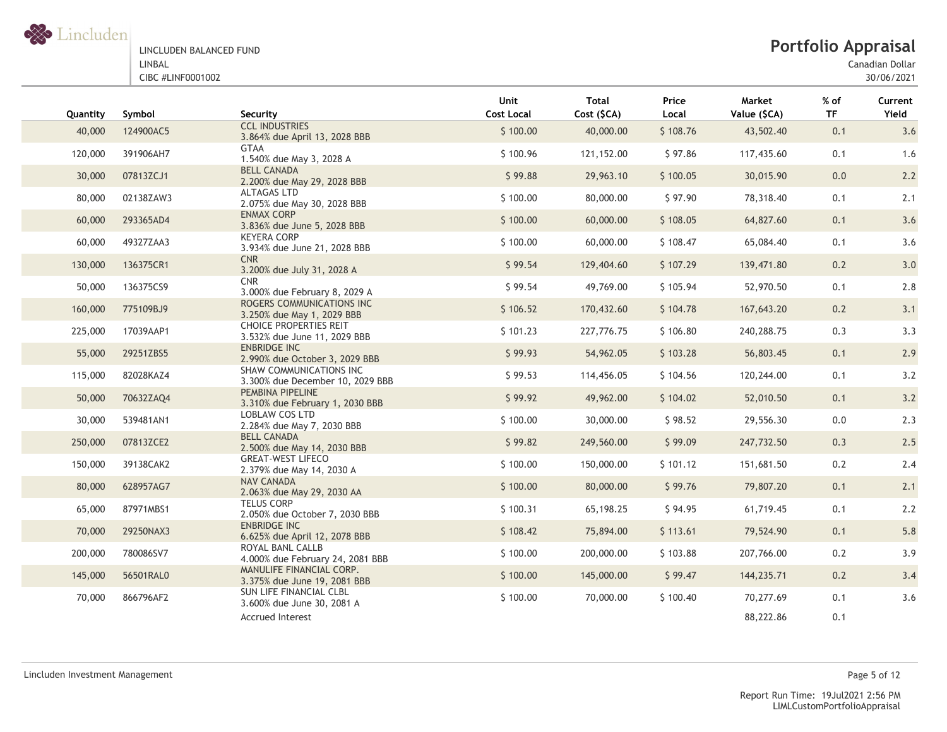

## **Portfolio Appraisal**

Canadian Dollar

| Quantity | Symbol    | Security                                                      | Unit<br><b>Cost Local</b> | <b>Total</b><br>Cost (\$CA) | Price<br>Local | Market<br>Value (\$CA) | $%$ of<br><b>TF</b> | Current<br>Yield |
|----------|-----------|---------------------------------------------------------------|---------------------------|-----------------------------|----------------|------------------------|---------------------|------------------|
| 40,000   | 124900AC5 | <b>CCL INDUSTRIES</b><br>3.864% due April 13, 2028 BBB        | \$100.00                  | 40,000.00                   | \$108.76       | 43,502.40              | 0.1                 | 3.6              |
| 120,000  | 391906AH7 | <b>GTAA</b><br>1.540% due May 3, 2028 A                       | \$100.96                  | 121,152.00                  | \$97.86        | 117,435.60             | 0.1                 | 1.6              |
| 30,000   | 07813ZCJ1 | <b>BELL CANADA</b><br>2.200% due May 29, 2028 BBB             | \$99.88                   | 29,963.10                   | \$100.05       | 30,015.90              | 0.0                 | 2.2              |
| 80,000   | 02138ZAW3 | <b>ALTAGAS LTD</b><br>2.075% due May 30, 2028 BBB             | \$100.00                  | 80,000.00                   | \$97.90        | 78,318.40              | 0.1                 | 2.1              |
| 60,000   | 293365AD4 | <b>ENMAX CORP</b><br>3.836% due June 5, 2028 BBB              | \$100.00                  | 60,000.00                   | \$108.05       | 64,827.60              | 0.1                 | 3.6              |
| 60,000   | 49327ZAA3 | <b>KEYERA CORP</b><br>3.934% due June 21, 2028 BBB            | \$100.00                  | 60,000.00                   | \$108.47       | 65,084.40              | 0.1                 | 3.6              |
| 130,000  | 136375CR1 | <b>CNR</b><br>3.200% due July 31, 2028 A                      | \$99.54                   | 129,404.60                  | \$107.29       | 139,471.80             | 0.2                 | 3.0              |
| 50,000   | 136375CS9 | <b>CNR</b><br>3.000% due February 8, 2029 A                   | \$99.54                   | 49,769.00                   | \$105.94       | 52,970.50              | 0.1                 | 2.8              |
| 160,000  | 775109BJ9 | ROGERS COMMUNICATIONS INC<br>3.250% due May 1, 2029 BBB       | \$106.52                  | 170,432.60                  | \$104.78       | 167,643.20             | 0.2                 | 3.1              |
| 225,000  | 17039AAP1 | <b>CHOICE PROPERTIES REIT</b><br>3.532% due June 11, 2029 BBB | \$101.23                  | 227,776.75                  | \$106.80       | 240,288.75             | 0.3                 | 3.3              |
| 55,000   | 29251ZBS5 | ENBRIDGE INC<br>2.990% due October 3, 2029 BBB                | \$99.93                   | 54,962.05                   | \$103.28       | 56,803.45              | 0.1                 | 2.9              |
| 115,000  | 82028KAZ4 | SHAW COMMUNICATIONS INC<br>3.300% due December 10, 2029 BBB   | \$99.53                   | 114,456.05                  | \$104.56       | 120,244.00             | 0.1                 | 3.2              |
| 50,000   | 70632ZAQ4 | PEMBINA PIPELINE<br>3.310% due February 1, 2030 BBB           | \$99.92                   | 49,962.00                   | \$104.02       | 52,010.50              | 0.1                 | 3.2              |
| 30,000   | 539481AN1 | LOBLAW COS LTD<br>2.284% due May 7, 2030 BBB                  | \$100.00                  | 30,000.00                   | \$98.52        | 29,556.30              | 0.0                 | 2.3              |
| 250,000  | 07813ZCE2 | <b>BELL CANADA</b><br>2.500% due May 14, 2030 BBB             | \$99.82                   | 249,560.00                  | \$99.09        | 247,732.50             | 0.3                 | 2.5              |
| 150,000  | 39138CAK2 | <b>GREAT-WEST LIFECO</b><br>2.379% due May 14, 2030 A         | \$100.00                  | 150,000.00                  | \$101.12       | 151,681.50             | 0.2                 | 2.4              |
| 80,000   | 628957AG7 | <b>NAV CANADA</b><br>2.063% due May 29, 2030 AA               | \$100.00                  | 80,000.00                   | \$99.76        | 79,807.20              | 0.1                 | 2.1              |
| 65,000   | 87971MBS1 | <b>TELUS CORP</b><br>2.050% due October 7, 2030 BBB           | \$100.31                  | 65,198.25                   | \$94.95        | 61,719.45              | 0.1                 | 2.2              |
| 70,000   | 29250NAX3 | <b>ENBRIDGE INC</b><br>6.625% due April 12, 2078 BBB          | \$108.42                  | 75,894.00                   | \$113.61       | 79,524.90              | 0.1                 | 5.8              |
| 200,000  | 780086SV7 | ROYAL BANL CALLB<br>4.000% due February 24, 2081 BBB          | \$100.00                  | 200,000.00                  | \$103.88       | 207,766.00             | 0.2                 | 3.9              |
| 145,000  | 56501RAL0 | MANULIFE FINANCIAL CORP.<br>3.375% due June 19, 2081 BBB      | \$100.00                  | 145,000.00                  | \$99.47        | 144,235.71             | 0.2                 | 3.4              |
| 70,000   | 866796AF2 | SUN LIFE FINANCIAL CLBL<br>3.600% due June 30, 2081 A         | \$100.00                  | 70,000.00                   | \$100.40       | 70,277.69              | 0.1                 | 3.6              |
|          |           | Accrued Interest                                              |                           |                             |                | 88,222.86              | 0.1                 |                  |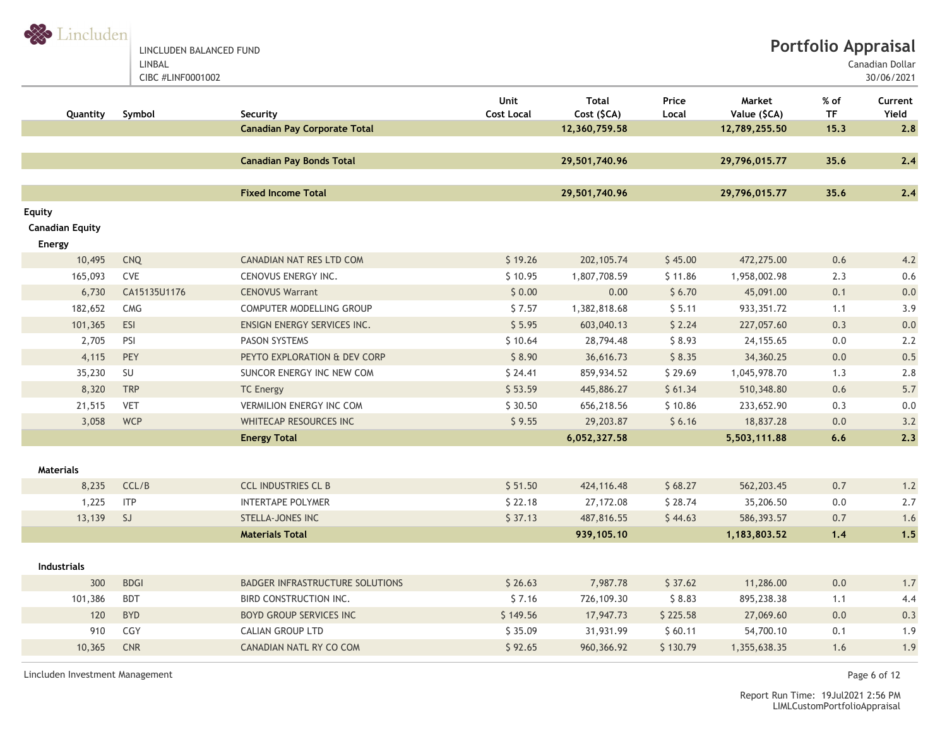LINCLUDEN BALANCED FUND LINBAL

CIBC #LINF0001002

Canadian Dollar

30/06/2021

| Quantity                         | Symbol       | Security                               | Unit<br><b>Cost Local</b> | <b>Total</b><br>Cost (\$CA) | Price<br>Local | Market<br>Value (\$CA) | % of<br><b>TF</b> | Current<br>Yield |
|----------------------------------|--------------|----------------------------------------|---------------------------|-----------------------------|----------------|------------------------|-------------------|------------------|
|                                  |              | <b>Canadian Pay Corporate Total</b>    |                           | 12,360,759.58               |                | 12,789,255.50          | 15.3              | 2.8              |
|                                  |              |                                        |                           |                             |                |                        |                   |                  |
|                                  |              | <b>Canadian Pay Bonds Total</b>        |                           | 29,501,740.96               |                | 29,796,015.77          | 35.6              | 2.4              |
|                                  |              |                                        |                           |                             |                |                        |                   |                  |
|                                  |              | <b>Fixed Income Total</b>              |                           | 29,501,740.96               |                | 29,796,015.77          | 35.6              | 2.4              |
| Equity<br><b>Canadian Equity</b> |              |                                        |                           |                             |                |                        |                   |                  |
| <b>Energy</b>                    |              |                                        |                           |                             |                |                        |                   |                  |
| 10,495                           | CNQ          | CANADIAN NAT RES LTD COM               | \$19.26                   | 202, 105.74                 | \$45.00        | 472,275.00             | 0.6               | 4.2              |
| 165,093                          | CVE          | CENOVUS ENERGY INC.                    | \$10.95                   | 1,807,708.59                | \$11.86        | 1,958,002.98           | 2.3               | 0.6              |
| 6,730                            | CA15135U1176 | <b>CENOVUS Warrant</b>                 | \$0.00                    | 0.00                        | \$6.70         | 45,091.00              | 0.1               | 0.0              |
| 182,652                          | CMG          | COMPUTER MODELLING GROUP               | \$7.57                    | 1,382,818.68                | \$5.11         | 933, 351. 72           | 1.1               | 3.9              |
| 101,365                          | ESI          | ENSIGN ENERGY SERVICES INC.            | \$5.95                    | 603,040.13                  | \$2.24         | 227,057.60             | 0.3               | 0.0              |
| 2,705                            | PSI          | <b>PASON SYSTEMS</b>                   | \$10.64                   | 28,794.48                   | \$8.93         | 24,155.65              | $0.0\,$           | 2.2              |
| 4,115                            | <b>PEY</b>   | PEYTO EXPLORATION & DEV CORP           | \$8.90                    | 36,616.73                   | \$8.35         | 34,360.25              | 0.0               | 0.5              |
| 35,230                           | SU           | SUNCOR ENERGY INC NEW COM              | \$24.41                   | 859,934.52                  | \$29.69        | 1,045,978.70           | 1.3               | 2.8              |
| 8,320                            | <b>TRP</b>   | <b>TC Energy</b>                       | \$53.59                   | 445,886.27                  | \$61.34        | 510,348.80             | 0.6               | 5.7              |
| 21,515                           | <b>VET</b>   | <b>VERMILION ENERGY INC COM</b>        | \$30.50                   | 656,218.56                  | \$10.86        | 233,652.90             | 0.3               | $0.0\,$          |
| 3,058                            | <b>WCP</b>   | WHITECAP RESOURCES INC                 | \$9.55                    | 29,203.87                   | \$6.16         | 18,837.28              | 0.0               | 3.2              |
|                                  |              | <b>Energy Total</b>                    |                           | 6,052,327.58                |                | 5,503,111.88           | 6.6               | 2.3              |
| <b>Materials</b>                 |              |                                        |                           |                             |                |                        |                   |                  |
| 8,235                            | CCL/B        | <b>CCL INDUSTRIES CL B</b>             | \$51.50                   | 424,116.48                  | \$68.27        | 562,203.45             | 0.7               | 1.2              |
| 1,225                            | <b>ITP</b>   | <b>INTERTAPE POLYMER</b>               | \$22.18                   | 27,172.08                   | \$28.74        | 35,206.50              | $0.0\,$           | 2.7              |
| 13,139                           | SJ           | <b>STELLA-JONES INC</b>                | \$37.13                   | 487,816.55                  | \$44.63        | 586,393.57             | 0.7               | 1.6              |
|                                  |              | <b>Materials Total</b>                 |                           | 939,105.10                  |                | 1,183,803.52           | 1.4               | 1.5              |
|                                  |              |                                        |                           |                             |                |                        |                   |                  |
| <b>Industrials</b>               |              |                                        |                           |                             |                |                        |                   |                  |
| 300                              | <b>BDGI</b>  | <b>BADGER INFRASTRUCTURE SOLUTIONS</b> | \$26.63                   | 7,987.78                    | \$37.62        | 11,286.00              | 0.0               | 1.7              |
| 101,386                          | <b>BDT</b>   | BIRD CONSTRUCTION INC.                 | \$7.16                    | 726,109.30                  | \$8.83         | 895,238.38             | 1.1               | 4.4              |
| 120                              | <b>BYD</b>   | <b>BOYD GROUP SERVICES INC</b>         | \$149.56                  | 17,947.73                   | \$225.58       | 27,069.60              | 0.0               | 0.3              |
| 910                              | CGY          | <b>CALIAN GROUP LTD</b>                | \$35.09                   | 31,931.99                   | \$60.11        | 54,700.10              | 0.1               | 1.9              |
| 10,365                           | <b>CNR</b>   | CANADIAN NATL RY CO COM                | \$92.65                   | 960, 366. 92                | \$130.79       | 1,355,638.35           | 1.6               | 1.9              |

Lincluden Investment Management Page 6 of 12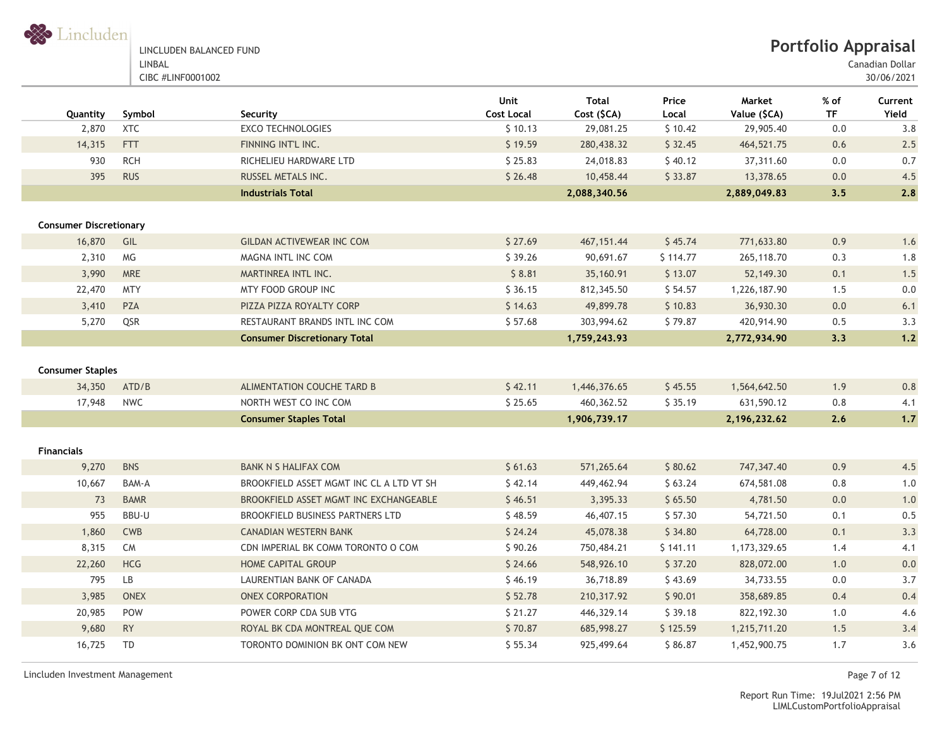

Canadian Dollar

| Quantity                      | Symbol      | Security                                 | Unit<br><b>Cost Local</b> | <b>Total</b><br>Cost (\$CA) | Price<br>Local | Market<br>Value (\$CA) | % of<br>TF | Current<br>Yield |
|-------------------------------|-------------|------------------------------------------|---------------------------|-----------------------------|----------------|------------------------|------------|------------------|
| 2,870                         | <b>XTC</b>  | <b>EXCO TECHNOLOGIES</b>                 | \$10.13                   | 29,081.25                   | \$10.42        | 29,905.40              | 0.0        | 3.8              |
| 14,315                        | FTT         | FINNING INT'L INC.                       | \$19.59                   | 280,438.32                  | \$32.45        | 464,521.75             | 0.6        | 2.5              |
| 930                           | <b>RCH</b>  | RICHELIEU HARDWARE LTD                   | \$25.83                   | 24,018.83                   | \$40.12        | 37,311.60              | 0.0        | 0.7              |
| 395                           | <b>RUS</b>  | RUSSEL METALS INC.                       | \$26.48                   | 10,458.44                   | \$33.87        | 13,378.65              | 0.0        | 4.5              |
|                               |             | <b>Industrials Total</b>                 |                           | 2,088,340.56                |                | 2,889,049.83           | 3.5        | 2.8              |
| <b>Consumer Discretionary</b> |             |                                          |                           |                             |                |                        |            |                  |
| 16,870                        | GIL         | <b>GILDAN ACTIVEWEAR INC COM</b>         | \$27.69                   | 467, 151.44                 | \$45.74        | 771,633.80             | 0.9        | 1.6              |
| 2,310                         | MG          | MAGNA INTL INC COM                       | \$39.26                   | 90,691.67                   | \$114.77       | 265,118.70             | 0.3        | 1.8              |
| 3,990                         | <b>MRE</b>  | MARTINREA INTL INC.                      | \$8.81                    | 35,160.91                   | \$13.07        | 52,149.30              | 0.1        | 1.5              |
| 22,470                        | <b>MTY</b>  | MTY FOOD GROUP INC                       | \$36.15                   | 812,345.50                  | \$54.57        | 1,226,187.90           | 1.5        | 0.0              |
| 3,410                         | PZA         | PIZZA PIZZA ROYALTY CORP                 | \$14.63                   | 49,899.78                   | \$10.83        | 36,930.30              | 0.0        | 6.1              |
| 5,270                         | QSR         | RESTAURANT BRANDS INTL INC COM           | \$57.68                   | 303,994.62                  | \$79.87        | 420,914.90             | 0.5        | 3.3              |
|                               |             | <b>Consumer Discretionary Total</b>      |                           | 1,759,243.93                |                | 2,772,934.90           | 3,3        | $1.2$            |
|                               |             |                                          |                           |                             |                |                        |            |                  |
| <b>Consumer Staples</b>       |             |                                          |                           |                             |                |                        |            |                  |
| 34,350                        | ATD/B       | ALIMENTATION COUCHE TARD B               | \$42.11                   | 1,446,376.65                | \$45.55        | 1,564,642.50           | 1.9        | $0.8\,$          |
| 17,948                        | <b>NWC</b>  | NORTH WEST CO INC COM                    | \$25.65                   | 460, 362.52                 | \$35.19        | 631,590.12             | 0.8        | 4.1              |
|                               |             | <b>Consumer Staples Total</b>            |                           | 1,906,739.17                |                | 2,196,232.62           | 2.6        | $1.7$            |
| <b>Financials</b>             |             |                                          |                           |                             |                |                        |            |                  |
| 9,270                         | <b>BNS</b>  | <b>BANK N S HALIFAX COM</b>              | \$61.63                   | 571,265.64                  | \$80.62        | 747, 347.40            | 0.9        | 4.5              |
| 10,667                        | BAM-A       | BROOKFIELD ASSET MGMT INC CL A LTD VT SH | \$42.14                   | 449,462.94                  | \$63.24        | 674,581.08             | 0.8        | 1.0              |
| 73                            | <b>BAMR</b> | BROOKFIELD ASSET MGMT INC EXCHANGEABLE   | \$46.51                   | 3,395.33                    | \$65.50        | 4,781.50               | 0.0        | 1.0              |
| 955                           | BBU-U       | BROOKFIELD BUSINESS PARTNERS LTD         | \$48.59                   | 46,407.15                   | \$57.30        | 54,721.50              | 0.1        | 0.5              |
| 1,860                         | <b>CWB</b>  | CANADIAN WESTERN BANK                    | \$24.24                   | 45,078.38                   | \$34.80        | 64,728.00              | 0.1        | 3.3              |
| 8,315                         | <b>CM</b>   | CDN IMPERIAL BK COMM TORONTO O COM       | \$90.26                   | 750,484.21                  | \$141.11       | 1,173,329.65           | 1.4        | 4.1              |
| 22,260                        | HCG         | <b>HOME CAPITAL GROUP</b>                | \$24.66                   | 548,926.10                  | \$37.20        | 828,072.00             | 1.0        | 0.0              |
| 795                           | LB          | LAURENTIAN BANK OF CANADA                | \$46.19                   | 36,718.89                   | \$43.69        | 34,733.55              | 0.0        | 3.7              |
| 3,985                         | <b>ONEX</b> | <b>ONEX CORPORATION</b>                  | \$52.78                   | 210,317.92                  | \$90.01        | 358,689.85             | 0.4        | 0.4              |
| 20,985                        | POW         | POWER CORP CDA SUB VTG                   | \$21.27                   | 446,329.14                  | \$39.18        | 822, 192.30            | 1.0        | 4.6              |
| 9,680                         | <b>RY</b>   | ROYAL BK CDA MONTREAL QUE COM            | \$70.87                   | 685,998.27                  | \$125.59       | 1,215,711.20           | 1.5        | 3.4              |
| 16,725                        | <b>TD</b>   | TORONTO DOMINION BK ONT COM NEW          | \$55.34                   | 925,499.64                  | \$86.87        | 1,452,900.75           | 1.7        | 3.6              |

Lincluden Investment Management Page 7 of 12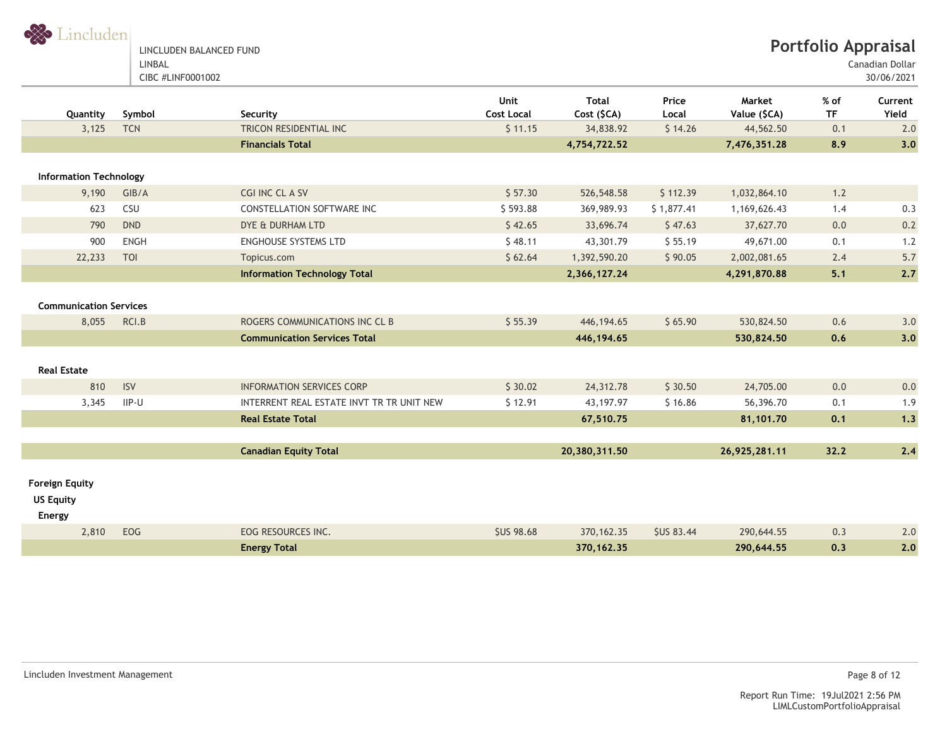LINCLUDEN BALANCED FUND LINBAL CIBC #LINF0001002

Canadian Dollar

| Quantity                      | Symbol      | Security                                  | Unit<br><b>Cost Local</b> | <b>Total</b><br>Cost (\$CA) | Price<br>Local    | Market<br>Value (\$CA) | $%$ of<br><b>TF</b> | Current<br>Yield |
|-------------------------------|-------------|-------------------------------------------|---------------------------|-----------------------------|-------------------|------------------------|---------------------|------------------|
| 3,125                         | <b>TCN</b>  | TRICON RESIDENTIAL INC                    | \$11.15                   | 34,838.92                   | \$14.26           | 44,562.50              | 0.1                 | 2.0              |
|                               |             | <b>Financials Total</b>                   |                           | 4,754,722.52                |                   | 7,476,351.28           | 8.9                 | 3.0              |
|                               |             |                                           |                           |                             |                   |                        |                     |                  |
| <b>Information Technology</b> |             |                                           |                           |                             |                   |                        |                     |                  |
| 9,190                         | GIB/A       | CGI INC CL A SV                           | \$57.30                   | 526,548.58                  | \$112.39          | 1,032,864.10           | 1.2                 |                  |
| 623                           | CSU         | <b>CONSTELLATION SOFTWARE INC</b>         | \$593.88                  | 369,989.93                  | \$1,877.41        | 1,169,626.43           | 1.4                 | 0.3              |
| 790                           | <b>DND</b>  | DYE & DURHAM LTD                          | \$42.65                   | 33,696.74                   | \$47.63           | 37,627.70              | 0.0                 | 0.2              |
| 900                           | <b>ENGH</b> | <b>ENGHOUSE SYSTEMS LTD</b>               | \$48.11                   | 43,301.79                   | \$55.19           | 49,671.00              | 0.1                 | 1.2              |
| 22,233                        | <b>TOI</b>  | Topicus.com                               | \$62.64                   | 1,392,590.20                | \$90.05           | 2,002,081.65           | 2.4                 | 5.7              |
|                               |             | <b>Information Technology Total</b>       |                           | 2,366,127.24                |                   | 4,291,870.88           | 5.1                 | 2.7              |
|                               |             |                                           |                           |                             |                   |                        |                     |                  |
| <b>Communication Services</b> |             |                                           |                           |                             |                   |                        |                     |                  |
| 8,055                         | RCI.B       | ROGERS COMMUNICATIONS INC CL B            | \$55.39                   | 446, 194. 65                | \$65.90           | 530,824.50             | 0.6                 | 3.0              |
|                               |             | <b>Communication Services Total</b>       |                           | 446, 194.65                 |                   | 530,824.50             | 0.6                 | 3,0              |
|                               |             |                                           |                           |                             |                   |                        |                     |                  |
| <b>Real Estate</b>            |             |                                           |                           |                             |                   |                        |                     |                  |
| 810                           | <b>ISV</b>  | <b>INFORMATION SERVICES CORP</b>          | \$30.02                   | 24,312.78                   | \$30.50           | 24,705.00              | 0.0                 | 0.0              |
| 3,345                         | $IIP-U$     | INTERRENT REAL ESTATE INVT TR TR UNIT NEW | \$12.91                   | 43, 197. 97                 | \$16.86           | 56,396.70              | 0.1                 | 1.9              |
|                               |             | <b>Real Estate Total</b>                  |                           | 67,510.75                   |                   | 81,101.70              | 0.1                 | 1.3              |
|                               |             |                                           |                           |                             |                   |                        |                     |                  |
|                               |             | <b>Canadian Equity Total</b>              |                           | 20,380,311.50               |                   | 26,925,281.11          | 32.2                | 2.4              |
|                               |             |                                           |                           |                             |                   |                        |                     |                  |
| <b>Foreign Equity</b>         |             |                                           |                           |                             |                   |                        |                     |                  |
| <b>US Equity</b><br>Energy    |             |                                           |                           |                             |                   |                        |                     |                  |
| 2,810                         | EOG         | EOG RESOURCES INC.                        | <b>SUS 98.68</b>          | 370, 162.35                 | <b>\$US 83.44</b> | 290,644.55             | 0.3                 | 2.0              |
|                               |             | <b>Energy Total</b>                       |                           | 370, 162.35                 |                   | 290,644.55             | 0.3                 | 2.0              |
|                               |             |                                           |                           |                             |                   |                        |                     |                  |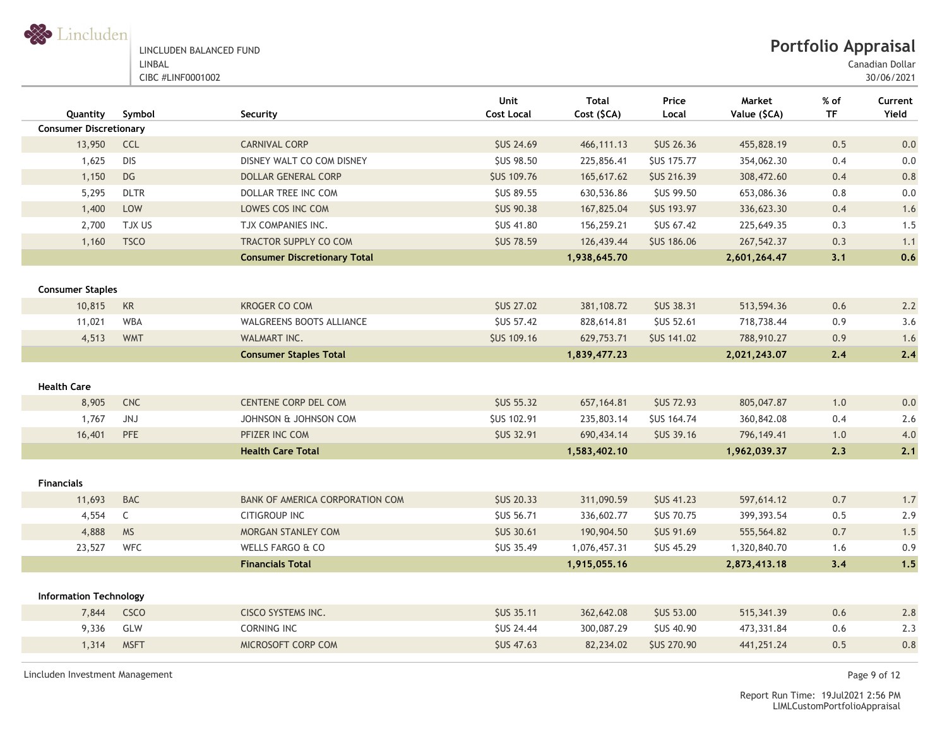

**Portfolio Appraisal**

Canadian Dollar

30/06/2021

| Quantity                      | Symbol      | Security                            | <b>Unit</b><br><b>Cost Local</b> | <b>Total</b><br>Cost (\$CA) | Price<br>Local     | Market<br>Value (\$CA) | % of<br>TF | Current<br>Yield |
|-------------------------------|-------------|-------------------------------------|----------------------------------|-----------------------------|--------------------|------------------------|------------|------------------|
| <b>Consumer Discretionary</b> |             |                                     |                                  |                             |                    |                        |            |                  |
| 13,950                        | <b>CCL</b>  | <b>CARNIVAL CORP</b>                | <b>SUS 24.69</b>                 | 466,111.13                  | <b>\$US 26.36</b>  | 455,828.19             | 0.5        | 0.0              |
| 1,625                         | <b>DIS</b>  | DISNEY WALT CO COM DISNEY           | <b>\$US 98.50</b>                | 225,856.41                  | <b>\$US 175.77</b> | 354,062.30             | 0.4        | 0.0              |
| 1,150                         | DG          | DOLLAR GENERAL CORP                 | <b>\$US 109.76</b>               | 165,617.62                  | <b>\$US 216.39</b> | 308,472.60             | 0.4        | 0.8              |
| 5,295                         | <b>DLTR</b> | DOLLAR TREE INC COM                 | <b>\$US 89.55</b>                | 630,536.86                  | <b>\$US 99.50</b>  | 653,086.36             | 0.8        | $0.0\,$          |
| 1,400                         | LOW         | LOWES COS INC COM                   | <b>\$US 90.38</b>                | 167,825.04                  | <b>\$US 193.97</b> | 336,623.30             | 0.4        | 1.6              |
| 2,700                         | TJX US      | TJX COMPANIES INC.                  | <b>\$US 41.80</b>                | 156,259.21                  | <b>\$US 67.42</b>  | 225,649.35             | 0.3        | 1.5              |
| 1,160                         | <b>TSCO</b> | <b>TRACTOR SUPPLY CO COM</b>        | <b>\$US 78.59</b>                | 126,439.44                  | <b>\$US 186.06</b> | 267,542.37             | 0.3        | 1.1              |
|                               |             | <b>Consumer Discretionary Total</b> |                                  | 1,938,645.70                |                    | 2,601,264.47           | 3.1        | 0.6              |
| <b>Consumer Staples</b>       |             |                                     |                                  |                             |                    |                        |            |                  |
| 10,815                        | KR          | <b>KROGER CO COM</b>                | <b>SUS 27.02</b>                 | 381,108.72                  | <b>\$US 38.31</b>  | 513,594.36             | 0.6        | 2.2              |
| 11,021                        | <b>WBA</b>  | <b>WALGREENS BOOTS ALLIANCE</b>     | <b>\$US 57.42</b>                | 828,614.81                  | <b>\$US 52.61</b>  | 718,738.44             | 0.9        | 3.6              |
| 4,513                         | <b>WMT</b>  | WALMART INC.                        | <b>\$US 109.16</b>               | 629,753.71                  | <b>\$US 141.02</b> | 788,910.27             | 0.9        | 1.6              |
|                               |             | <b>Consumer Staples Total</b>       |                                  | 1,839,477.23                |                    | 2,021,243.07           | 2.4        | 2.4              |
| <b>Health Care</b>            |             |                                     |                                  |                             |                    |                        |            |                  |
| 8,905                         | <b>CNC</b>  | <b>CENTENE CORP DEL COM</b>         | <b>SUS 55.32</b>                 | 657, 164.81                 | <b>\$US 72.93</b>  | 805,047.87             | 1.0        | 0.0              |
| 1,767                         | JNJ         | JOHNSON & JOHNSON COM               | <b>\$US 102.91</b>               | 235,803.14                  | <b>\$US 164.74</b> | 360,842.08             | 0.4        | 2.6              |
| 16,401                        | <b>PFE</b>  | PFIZER INC COM                      | <b>SUS 32.91</b>                 | 690,434.14                  | <b>\$US 39.16</b>  | 796, 149. 41           | 1.0        | 4.0              |
|                               |             | <b>Health Care Total</b>            |                                  | 1,583,402.10                |                    | 1,962,039.37           | 2.3        | 2.1              |
| <b>Financials</b>             |             |                                     |                                  |                             |                    |                        |            |                  |
| 11,693                        | <b>BAC</b>  | BANK OF AMERICA CORPORATION COM     | <b>\$US 20.33</b>                | 311,090.59                  | <b>\$US 41.23</b>  | 597,614.12             | 0.7        | 1.7              |
| 4,554                         | C           | CITIGROUP INC                       | <b>\$US 56.71</b>                | 336,602.77                  | <b>\$US 70.75</b>  | 399, 393.54            | 0.5        | 2.9              |
| 4,888                         | <b>MS</b>   | <b>MORGAN STANLEY COM</b>           | <b>\$US 30.61</b>                | 190,904.50                  | <b>\$US 91.69</b>  | 555,564.82             | 0.7        | 1.5              |
| 23,527                        | <b>WFC</b>  | WELLS FARGO & CO                    | <b>\$US 35.49</b>                | 1,076,457.31                | <b>\$US 45.29</b>  | 1,320,840.70           | 1.6        | 0.9              |
|                               |             | <b>Financials Total</b>             |                                  | 1,915,055.16                |                    | 2,873,413.18           | 3,4        | 1.5              |
| <b>Information Technology</b> |             |                                     |                                  |                             |                    |                        |            |                  |
| 7,844                         | <b>CSCO</b> | <b>CISCO SYSTEMS INC.</b>           | <b>\$US 35.11</b>                | 362,642.08                  | <b>\$US 53.00</b>  | 515, 341.39            | 0.6        | 2.8              |
| 9,336                         | GLW         | CORNING INC                         | <b>\$US 24.44</b>                | 300,087.29                  | <b>\$US 40.90</b>  | 473,331.84             | 0.6        | 2.3              |
| 1,314                         | <b>MSFT</b> | MICROSOFT CORP COM                  | <b>\$US 47.63</b>                | 82,234.02                   | <b>\$US 270.90</b> | 441,251.24             | 0.5        | 0.8              |
|                               |             |                                     |                                  |                             |                    |                        |            |                  |

Lincluden Investment Management Page 9 of 12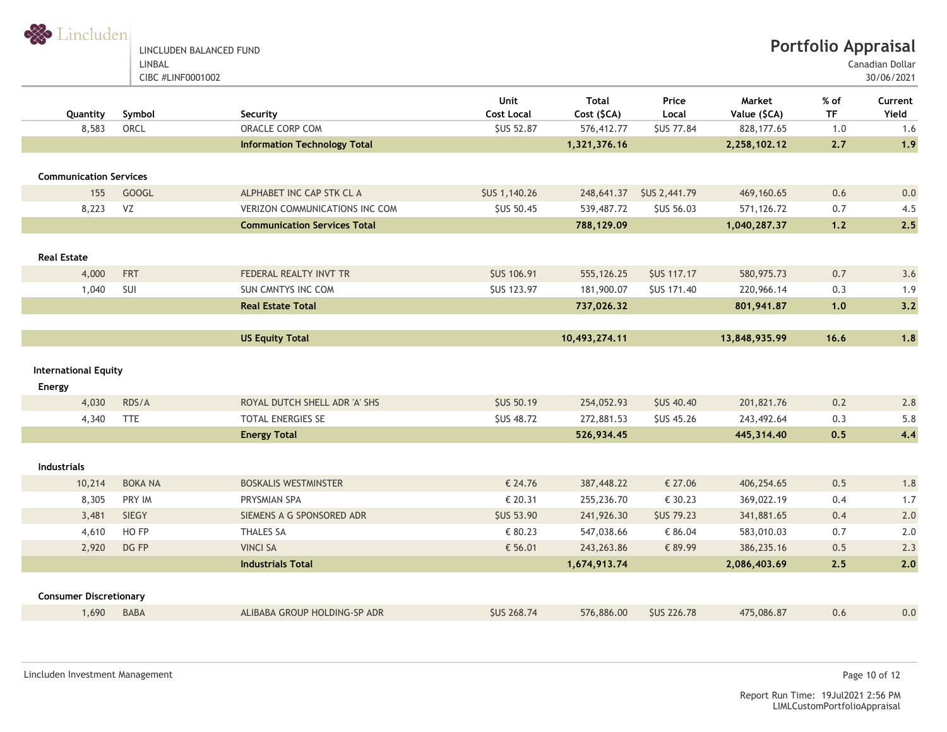LINCLUDEN BALANCED FUND LINBAL CIBC #LINF0001002

Canadian Dollar

| Quantity                              | Symbol         | Security                              | Unit<br><b>Cost Local</b> | <b>Total</b><br>Cost (\$CA) | Price<br>Local     | Market<br>Value (\$CA) | % of<br><b>TF</b> | Current<br>Yield |
|---------------------------------------|----------------|---------------------------------------|---------------------------|-----------------------------|--------------------|------------------------|-------------------|------------------|
| 8,583                                 | ORCL           | ORACLE CORP COM                       | <b>SUS 52.87</b>          | 576,412.77                  | <b>SUS 77.84</b>   | 828, 177.65            | 1.0               | 1.6              |
|                                       |                | <b>Information Technology Total</b>   |                           | 1,321,376.16                |                    | 2,258,102.12           | 2.7               | 1.9              |
|                                       |                |                                       |                           |                             |                    |                        |                   |                  |
| <b>Communication Services</b>         |                |                                       |                           |                             |                    |                        |                   |                  |
| 155                                   | <b>GOOGL</b>   | ALPHABET INC CAP STK CL A             | <b>\$US 1,140.26</b>      | 248,641.37                  | \$US 2,441.79      | 469,160.65             | 0.6               | 0.0              |
| 8,223                                 | VZ             | <b>VERIZON COMMUNICATIONS INC COM</b> | <b>\$US 50.45</b>         | 539,487.72                  | <b>\$US 56.03</b>  | 571,126.72             | $0.7\,$           | 4.5              |
|                                       |                | <b>Communication Services Total</b>   |                           | 788,129.09                  |                    | 1,040,287.37           | $1.2$             | 2.5              |
| <b>Real Estate</b>                    |                |                                       |                           |                             |                    |                        |                   |                  |
| 4,000                                 | <b>FRT</b>     | FEDERAL REALTY INVT TR                | <b>\$US 106.91</b>        | 555,126.25                  | <b>\$US 117.17</b> | 580, 975.73            | $0.7\,$           | 3.6              |
| 1,040                                 | SUI            | <b>SUN CMNTYS INC COM</b>             | <b>\$US 123.97</b>        | 181,900.07                  | <b>\$US 171.40</b> | 220,966.14             | 0.3               | 1.9              |
|                                       |                | <b>Real Estate Total</b>              |                           | 737,026.32                  |                    | 801,941.87             | 1.0               | 3.2              |
|                                       |                |                                       |                           |                             |                    |                        |                   |                  |
|                                       |                | <b>US Equity Total</b>                |                           | 10,493,274.11               |                    | 13,848,935.99          | 16.6              | 1.8              |
| <b>International Equity</b><br>Energy |                |                                       |                           |                             |                    |                        |                   |                  |
| 4,030                                 | RDS/A          | ROYAL DUTCH SHELL ADR 'A' SHS         | <b>\$US 50.19</b>         | 254,052.93                  | <b>\$US 40.40</b>  | 201,821.76             | 0.2               | 2.8              |
| 4,340                                 | <b>TTE</b>     | TOTAL ENERGIES SE                     | <b>\$US 48.72</b>         | 272,881.53                  | <b>\$US 45.26</b>  | 243,492.64             | 0.3               | 5.8              |
|                                       |                | <b>Energy Total</b>                   |                           | 526,934.45                  |                    | 445,314.40             | 0.5               | 4.4              |
| <b>Industrials</b>                    |                |                                       |                           |                             |                    |                        |                   |                  |
| 10,214                                | <b>BOKA NA</b> | <b>BOSKALIS WESTMINSTER</b>           | € 24.76                   | 387,448.22                  | € 27.06            | 406,254.65             | 0.5               | 1.8              |
| 8,305                                 | PRY IM         | PRYSMIAN SPA                          | € 20.31                   | 255,236.70                  | € 30.23            | 369,022.19             | 0.4               | 1.7              |
| 3,481                                 | <b>SIEGY</b>   | SIEMENS A G SPONSORED ADR             | <b>\$US 53.90</b>         | 241,926.30                  | <b>\$US 79.23</b>  | 341,881.65             | 0.4               | 2.0              |
| 4,610                                 | HO FP          | <b>THALES SA</b>                      | € 80.23                   | 547,038.66                  | € 86.04            | 583,010.03             | 0.7               | 2.0              |
| 2,920                                 | DG FP          | <b>VINCI SA</b>                       | € 56.01                   | 243, 263.86                 | € 89.99            | 386,235.16             | 0.5               | 2.3              |
|                                       |                | <b>Industrials Total</b>              |                           | 1,674,913.74                |                    | 2,086,403.69           | 2.5               | 2.0              |
|                                       |                |                                       |                           |                             |                    |                        |                   |                  |
| <b>Consumer Discretionary</b>         |                |                                       |                           |                             |                    |                        |                   |                  |
| 1,690                                 | BABA           | ALIBABA GROUP HOLDING-SP ADR          | <b>\$US 268.74</b>        | 576,886.00                  | <b>\$US 226.78</b> | 475,086.87             | 0.6               | 0.0              |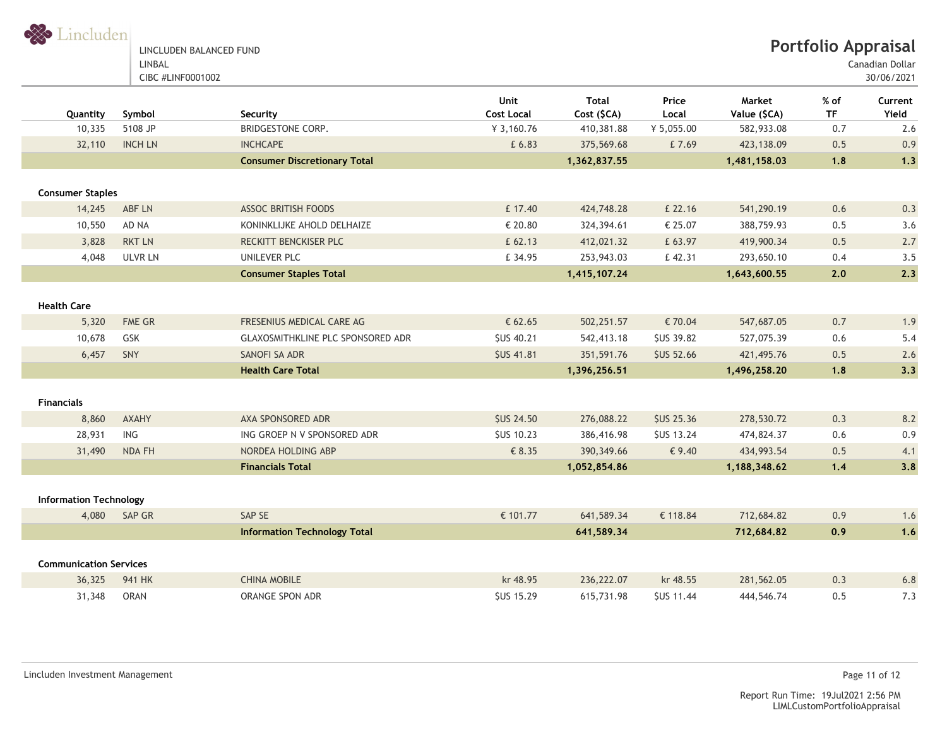

Canadian Dollar

| 10,335<br>5108 JP<br>BRIDGESTONE CORP.<br>¥ 3,160.76<br>¥ 5,055.00<br>582,933.08<br>410,381.88<br>0.7<br>32,110<br><b>INCH LN</b><br>0.5<br><b>INCHCAPE</b><br>£ 6.83<br>375,569.68<br>£7.69<br>423,138.09<br><b>Consumer Discretionary Total</b><br>1,362,837.55<br>1,481,158.03<br>1.8<br><b>Consumer Staples</b><br><b>ASSOC BRITISH FOODS</b><br>£ 17.40<br>14,245<br>ABF LN<br>424,748.28<br>£ 22.16<br>541,290.19<br>0.6<br>0.5<br>10,550<br>AD NA<br>KONINKLIJKE AHOLD DELHAIZE<br>€ 20.80<br>€ 25.07<br>324,394.61<br>388,759.93<br><b>RKT LN</b><br>3,828<br>RECKITT BENCKISER PLC<br>£ 62.13<br>412,021.32<br>£ 63.97<br>419,900.34<br>0.5<br>4,048<br><b>ULVR LN</b><br>UNILEVER PLC<br>£ 34.95<br>£42.31<br>253,943.03<br>293,650.10<br>0.4 | Current<br>Yield |
|---------------------------------------------------------------------------------------------------------------------------------------------------------------------------------------------------------------------------------------------------------------------------------------------------------------------------------------------------------------------------------------------------------------------------------------------------------------------------------------------------------------------------------------------------------------------------------------------------------------------------------------------------------------------------------------------------------------------------------------------------------|------------------|
|                                                                                                                                                                                                                                                                                                                                                                                                                                                                                                                                                                                                                                                                                                                                                         | 2.6              |
|                                                                                                                                                                                                                                                                                                                                                                                                                                                                                                                                                                                                                                                                                                                                                         | 0.9              |
|                                                                                                                                                                                                                                                                                                                                                                                                                                                                                                                                                                                                                                                                                                                                                         | 1.3              |
|                                                                                                                                                                                                                                                                                                                                                                                                                                                                                                                                                                                                                                                                                                                                                         |                  |
|                                                                                                                                                                                                                                                                                                                                                                                                                                                                                                                                                                                                                                                                                                                                                         | 0.3              |
|                                                                                                                                                                                                                                                                                                                                                                                                                                                                                                                                                                                                                                                                                                                                                         | 3.6              |
|                                                                                                                                                                                                                                                                                                                                                                                                                                                                                                                                                                                                                                                                                                                                                         | 2.7              |
|                                                                                                                                                                                                                                                                                                                                                                                                                                                                                                                                                                                                                                                                                                                                                         | 3.5              |
| <b>Consumer Staples Total</b><br>1,415,107.24<br>1,643,600.55<br>2.0                                                                                                                                                                                                                                                                                                                                                                                                                                                                                                                                                                                                                                                                                    | 2.3              |
| <b>Health Care</b>                                                                                                                                                                                                                                                                                                                                                                                                                                                                                                                                                                                                                                                                                                                                      |                  |
| FME GR<br>€ 62.65<br>0.7<br>5,320<br>FRESENIUS MEDICAL CARE AG<br>502,251.57<br>€ 70.04<br>547,687.05                                                                                                                                                                                                                                                                                                                                                                                                                                                                                                                                                                                                                                                   | 1.9              |
| 10,678<br>GSK<br><b>\$US 40.21</b><br><b>\$US 39.82</b><br><b>GLAXOSMITHKLINE PLC SPONSORED ADR</b><br>542,413.18<br>527,075.39<br>0.6                                                                                                                                                                                                                                                                                                                                                                                                                                                                                                                                                                                                                  | 5.4              |
| 6,457<br>SNY<br>SANOFI SA ADR<br><b>\$US 41.81</b><br>351,591.76<br><b>\$US 52.66</b><br>0.5<br>421,495.76                                                                                                                                                                                                                                                                                                                                                                                                                                                                                                                                                                                                                                              | 2.6              |
| <b>Health Care Total</b><br>1,396,256.51<br>1,496,258.20<br>1.8                                                                                                                                                                                                                                                                                                                                                                                                                                                                                                                                                                                                                                                                                         | 3,3              |
| <b>Financials</b>                                                                                                                                                                                                                                                                                                                                                                                                                                                                                                                                                                                                                                                                                                                                       |                  |
| AXAHY<br><b>\$US 25.36</b><br>0.3<br>8,860<br>AXA SPONSORED ADR<br><b>\$US 24.50</b><br>276,088.22<br>278,530.72                                                                                                                                                                                                                                                                                                                                                                                                                                                                                                                                                                                                                                        | 8.2              |
| 28,931<br>ING<br><b>\$US 10.23</b><br>ING GROEP N V SPONSORED ADR<br>386,416.98<br><b>SUS 13.24</b><br>474,824.37<br>0.6                                                                                                                                                                                                                                                                                                                                                                                                                                                                                                                                                                                                                                | 0.9              |
| NDA FH<br>$\epsilon$ 8.35<br>€ 9.40<br>0.5<br>31,490<br>NORDEA HOLDING ABP<br>390, 349.66<br>434,993.54                                                                                                                                                                                                                                                                                                                                                                                                                                                                                                                                                                                                                                                 | 4.1              |
| <b>Financials Total</b><br>1,188,348.62<br>1,4<br>1,052,854.86                                                                                                                                                                                                                                                                                                                                                                                                                                                                                                                                                                                                                                                                                          | 3.8              |
|                                                                                                                                                                                                                                                                                                                                                                                                                                                                                                                                                                                                                                                                                                                                                         |                  |
| <b>Information Technology</b>                                                                                                                                                                                                                                                                                                                                                                                                                                                                                                                                                                                                                                                                                                                           |                  |
| 4,080<br>SAP GR<br>SAP SE<br>€ 101.77<br>641,589.34<br>€ 118.84<br>712,684.82<br>0.9                                                                                                                                                                                                                                                                                                                                                                                                                                                                                                                                                                                                                                                                    | 1.6              |
| 641,589.34<br>712,684.82<br>0.9<br><b>Information Technology Total</b>                                                                                                                                                                                                                                                                                                                                                                                                                                                                                                                                                                                                                                                                                  | 1.6              |
| <b>Communication Services</b>                                                                                                                                                                                                                                                                                                                                                                                                                                                                                                                                                                                                                                                                                                                           |                  |
| 36,325<br><b>CHINA MOBILE</b><br>kr 48.95<br>941 HK<br>236, 222.07<br>kr 48.55<br>281,562.05<br>0.3                                                                                                                                                                                                                                                                                                                                                                                                                                                                                                                                                                                                                                                     | 6.8              |
| <b>\$US 15.29</b><br>0.5<br>31,348<br><b>ORAN</b><br>ORANGE SPON ADR<br>615,731.98<br><b>SUS 11.44</b><br>444,546.74                                                                                                                                                                                                                                                                                                                                                                                                                                                                                                                                                                                                                                    | 7.3              |